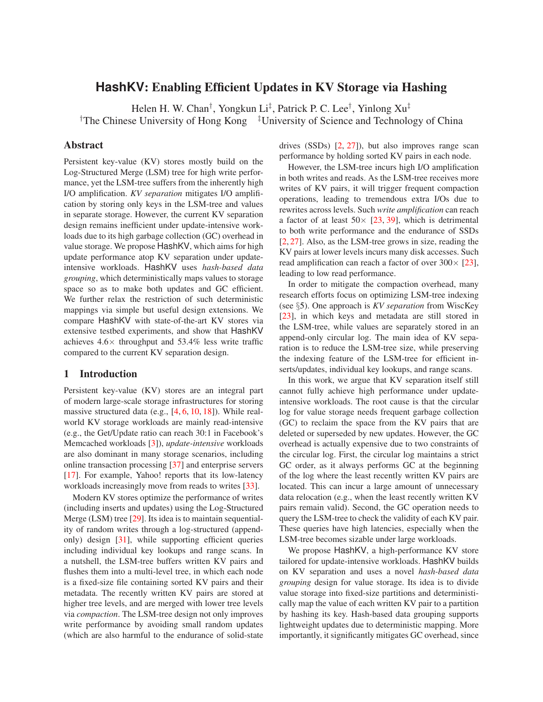# **HashKV: Enabling Efficient Updates in KV Storage via Hashing**

Helen H. W. Chan<sup>†</sup>, Yongkun Li<sup>‡</sup>, Patrick P. C. Lee<sup>†</sup>, Yinlong Xu<sup>‡</sup> <sup>†</sup>The Chinese University of Hong Kong <sup>‡</sup>University of Science and Technology of China

# **Abstract**

Persistent key-value (KV) stores mostly build on the Log-Structured Merge (LSM) tree for high write performance, yet the LSM-tree suffers from the inherently high I/O amplification. *KV separation* mitigates I/O amplification by storing only keys in the LSM-tree and values in separate storage. However, the current KV separation design remains inefficient under update-intensive workloads due to its high garbage collection (GC) overhead in value storage. We propose HashKV, which aims for high update performance atop KV separation under updateintensive workloads. HashKV uses *hash-based data grouping*, which deterministically maps values to storage space so as to make both updates and GC efficient. We further relax the restriction of such deterministic mappings via simple but useful design extensions. We compare HashKV with state-of-the-art KV stores via extensive testbed experiments, and show that HashKV achieves  $4.6\times$  throughput and  $53.4\%$  less write traffic compared to the current KV separation design.

# **1 Introduction**

Persistent key-value (KV) stores are an integral part of modern large-scale storage infrastructures for storing massive structured data (e.g., [\[4,](#page-11-0) [6,](#page-11-1) [10,](#page-11-2) [18\]](#page-11-3)). While realworld KV storage workloads are mainly read-intensive (e.g., the Get/Update ratio can reach 30:1 in Facebook's Memcached workloads [\[3\]](#page-11-4)), *update-intensive* workloads are also dominant in many storage scenarios, including online transaction processing [\[37\]](#page-12-0) and enterprise servers [\[17\]](#page-11-5). For example, Yahoo! reports that its low-latency workloads increasingly move from reads to writes [\[33\]](#page-12-1).

Modern KV stores optimize the performance of writes (including inserts and updates) using the Log-Structured Merge (LSM) tree [\[29\]](#page-12-2). Its idea is to maintain sequentiality of random writes through a log-structured (appendonly) design [\[31\]](#page-12-3), while supporting efficient queries including individual key lookups and range scans. In a nutshell, the LSM-tree buffers written KV pairs and flushes them into a multi-level tree, in which each node is a fixed-size file containing sorted KV pairs and their metadata. The recently written KV pairs are stored at higher tree levels, and are merged with lower tree levels via *compaction*. The LSM-tree design not only improves write performance by avoiding small random updates (which are also harmful to the endurance of solid-state drives  $(SSDs)$   $[2, 27]$  $[2, 27]$ , but also improves range scan performance by holding sorted KV pairs in each node.

However, the LSM-tree incurs high I/O amplification in both writes and reads. As the LSM-tree receives more writes of KV pairs, it will trigger frequent compaction operations, leading to tremendous extra I/Os due to rewrites across levels. Such *write amplification* can reach a factor of at least  $50 \times [23, 39]$  $50 \times [23, 39]$  $50 \times [23, 39]$  $50 \times [23, 39]$ , which is detrimental to both write performance and the endurance of SSDs [\[2,](#page-11-6) [27\]](#page-11-7). Also, as the LSM-tree grows in size, reading the KV pairs at lower levels incurs many disk accesses. Such read amplification can reach a factor of over  $300 \times [23]$  $300 \times [23]$ , leading to low read performance.

In order to mitigate the compaction overhead, many research efforts focus on optimizing LSM-tree indexing (see §[5\)](#page-10-0). One approach is *KV separation* from WiscKey [\[23\]](#page-11-8), in which keys and metadata are still stored in the LSM-tree, while values are separately stored in an append-only circular log. The main idea of KV separation is to reduce the LSM-tree size, while preserving the indexing feature of the LSM-tree for efficient inserts/updates, individual key lookups, and range scans.

In this work, we argue that KV separation itself still cannot fully achieve high performance under updateintensive workloads. The root cause is that the circular log for value storage needs frequent garbage collection (GC) to reclaim the space from the KV pairs that are deleted or superseded by new updates. However, the GC overhead is actually expensive due to two constraints of the circular log. First, the circular log maintains a strict GC order, as it always performs GC at the beginning of the log where the least recently written KV pairs are located. This can incur a large amount of unnecessary data relocation (e.g., when the least recently written KV pairs remain valid). Second, the GC operation needs to query the LSM-tree to check the validity of each KV pair. These queries have high latencies, especially when the LSM-tree becomes sizable under large workloads.

We propose HashKV, a high-performance KV store tailored for update-intensive workloads. HashKV builds on KV separation and uses a novel *hash-based data grouping* design for value storage. Its idea is to divide value storage into fixed-size partitions and deterministically map the value of each written KV pair to a partition by hashing its key. Hash-based data grouping supports lightweight updates due to deterministic mapping. More importantly, it significantly mitigates GC overhead, since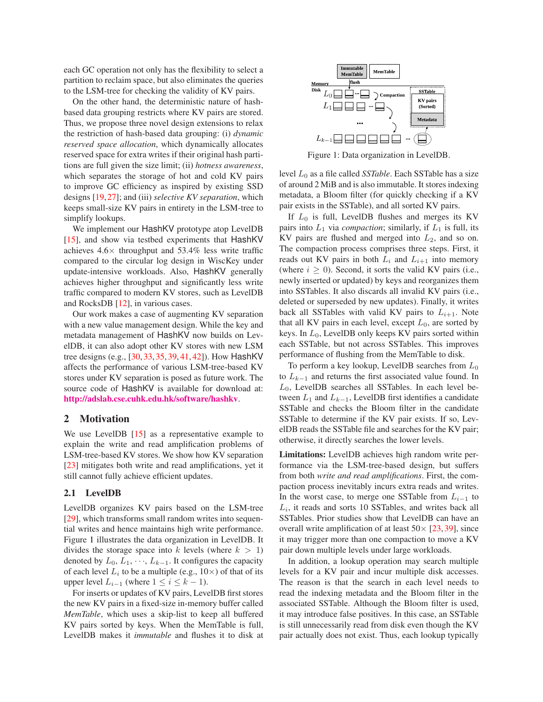each GC operation not only has the flexibility to select a partition to reclaim space, but also eliminates the queries to the LSM-tree for checking the validity of KV pairs.

On the other hand, the deterministic nature of hashbased data grouping restricts where KV pairs are stored. Thus, we propose three novel design extensions to relax the restriction of hash-based data grouping: (i) *dynamic reserved space allocation*, which dynamically allocates reserved space for extra writes if their original hash partitions are full given the size limit; (ii) *hotness awareness*, which separates the storage of hot and cold KV pairs to improve GC efficiency as inspired by existing SSD designs [\[19,](#page-11-9)[27\]](#page-11-7); and (iii) *selective KV separation*, which keeps small-size KV pairs in entirety in the LSM-tree to simplify lookups.

We implement our HashKV prototype atop LevelDB [\[15\]](#page-11-10), and show via testbed experiments that HashKV achieves  $4.6\times$  throughput and  $53.4\%$  less write traffic compared to the circular log design in WiscKey under update-intensive workloads. Also, HashKV generally achieves higher throughput and significantly less write traffic compared to modern KV stores, such as LevelDB and RocksDB [\[12\]](#page-11-11), in various cases.

Our work makes a case of augmenting KV separation with a new value management design. While the key and metadata management of HashKV now builds on LevelDB, it can also adopt other KV stores with new LSM tree designs (e.g., [\[30,](#page-12-5) [33,](#page-12-1) [35,](#page-12-6) [39,](#page-12-4) [41,](#page-12-7) [42\]](#page-12-8)). How HashKV affects the performance of various LSM-tree-based KV stores under KV separation is posed as future work. The source code of HashKV is available for download at: **<http://adslab.cse.cuhk.edu.hk/software/hashkv>**.

# **2 Motivation**

We use LevelDB [\[15\]](#page-11-10) as a representative example to explain the write and read amplification problems of LSM-tree-based KV stores. We show how KV separation [\[23\]](#page-11-8) mitigates both write and read amplifications, yet it still cannot fully achieve efficient updates.

#### **2.1 LevelDB**

LevelDB organizes KV pairs based on the LSM-tree [\[29\]](#page-12-2), which transforms small random writes into sequential writes and hence maintains high write performance. Figure [1](#page-1-0) illustrates the data organization in LevelDB. It divides the storage space into k levels (where  $k > 1$ ) denoted by  $L_0, L_1, \dots, L_{k-1}$ . It configures the capacity of each level  $L_i$  to be a multiple (e.g.,  $10 \times$ ) of that of its upper level  $L_{i-1}$  (where  $1 \leq i \leq k-1$ ).

For inserts or updates of KV pairs, LevelDB first stores the new KV pairs in a fixed-size in-memory buffer called *MemTable*, which uses a skip-list to keep all buffered KV pairs sorted by keys. When the MemTable is full, LevelDB makes it *immutable* and flushes it to disk at



<span id="page-1-0"></span>Figure 1: Data organization in LevelDB.

level L<sup>0</sup> as a file called *SSTable*. Each SSTable has a size of around 2 MiB and is also immutable. It stores indexing metadata, a Bloom filter (for quickly checking if a KV pair exists in the SSTable), and all sorted KV pairs.

If  $L_0$  is full, LevelDB flushes and merges its KV pairs into  $L_1$  via *compaction*; similarly, if  $L_1$  is full, its KV pairs are flushed and merged into  $L_2$ , and so on. The compaction process comprises three steps. First, it reads out KV pairs in both  $L_i$  and  $L_{i+1}$  into memory (where  $i \geq 0$ ). Second, it sorts the valid KV pairs (i.e., newly inserted or updated) by keys and reorganizes them into SSTables. It also discards all invalid KV pairs (i.e., deleted or superseded by new updates). Finally, it writes back all SSTables with valid KV pairs to  $L_{i+1}$ . Note that all KV pairs in each level, except  $L_0$ , are sorted by keys. In  $L_0$ , LevelDB only keeps KV pairs sorted within each SSTable, but not across SSTables. This improves performance of flushing from the MemTable to disk.

To perform a key lookup, LevelDB searches from  $L_0$ to  $L_{k-1}$  and returns the first associated value found. In  $L_0$ , LevelDB searches all SSTables. In each level between  $L_1$  and  $L_{k-1}$ , LevelDB first identifies a candidate SSTable and checks the Bloom filter in the candidate SSTable to determine if the KV pair exists. If so, LevelDB reads the SSTable file and searches for the KV pair; otherwise, it directly searches the lower levels.

**Limitations:** LevelDB achieves high random write performance via the LSM-tree-based design, but suffers from both *write and read amplifications*. First, the compaction process inevitably incurs extra reads and writes. In the worst case, to merge one SSTable from  $L_{i-1}$  to  $L<sub>i</sub>$ , it reads and sorts 10 SSTables, and writes back all SSTables. Prior studies show that LevelDB can have an overall write amplification of at least  $50 \times [23, 39]$  $50 \times [23, 39]$  $50 \times [23, 39]$  $50 \times [23, 39]$ , since it may trigger more than one compaction to move a KV pair down multiple levels under large workloads.

In addition, a lookup operation may search multiple levels for a KV pair and incur multiple disk accesses. The reason is that the search in each level needs to read the indexing metadata and the Bloom filter in the associated SSTable. Although the Bloom filter is used, it may introduce false positives. In this case, an SSTable is still unnecessarily read from disk even though the KV pair actually does not exist. Thus, each lookup typically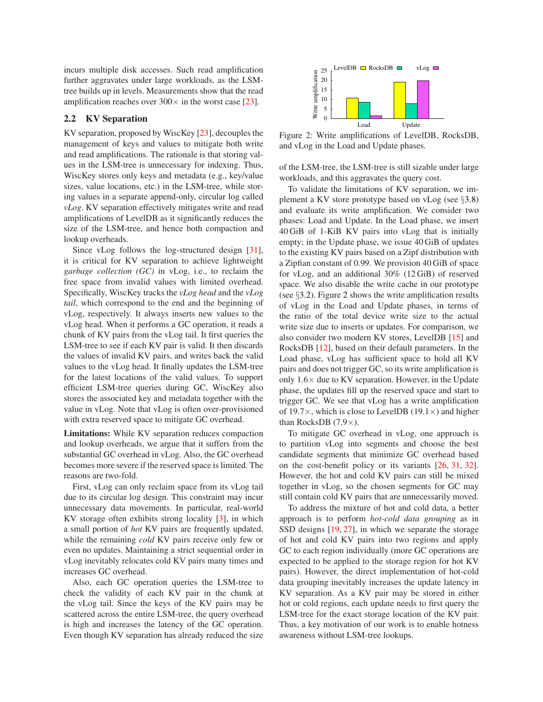incurs multiple disk accesses. Such read amplification further aggravates under large workloads, as the LSMtree builds up in levels. Measurements show that the read amplification reaches over  $300 \times$  in the worst case [\[23\]](#page-11-8).

#### <span id="page-2-1"></span>**2.2 KV Separation**

KV separation, proposed by WiscKey [\[23\]](#page-11-8), decouples the management of keys and values to mitigate both write and read amplifications. The rationale is that storing values in the LSM-tree is unnecessary for indexing. Thus, WiscKey stores only keys and metadata (e.g., key/value sizes, value locations, etc.) in the LSM-tree, while storing values in a separate append-only, circular log called *vLog*. KV separation effectively mitigates write and read amplifications of LevelDB as it significantly reduces the size of the LSM-tree, and hence both compaction and lookup overheads.

Since vLog follows the log-structured design [\[31\]](#page-12-3), it is critical for KV separation to achieve lightweight *garbage collection (GC)* in vLog, i.e., to reclaim the free space from invalid values with limited overhead. Specifically, WiscKey tracks the *vLog head* and the *vLog tail*, which correspond to the end and the beginning of vLog, respectively. It always inserts new values to the vLog head. When it performs a GC operation, it reads a chunk of KV pairs from the vLog tail. It first queries the LSM-tree to see if each KV pair is valid. It then discards the values of invalid KV pairs, and writes back the valid values to the vLog head. It finally updates the LSM-tree for the latest locations of the valid values. To support efficient LSM-tree queries during GC, WiscKey also stores the associated key and metadata together with the value in vLog. Note that vLog is often over-provisioned with extra reserved space to mitigate GC overhead.

**Limitations:** While KV separation reduces compaction and lookup overheads, we argue that it suffers from the substantial GC overhead in vLog. Also, the GC overhead becomes more severe if the reserved space is limited. The reasons are two-fold.

First, vLog can only reclaim space from its vLog tail due to its circular log design. This constraint may incur unnecessary data movements. In particular, real-world KV storage often exhibits strong locality [\[3\]](#page-11-4), in which a small portion of *hot* KV pairs are frequently updated, while the remaining *cold* KV pairs receive only few or even no updates. Maintaining a strict sequential order in vLog inevitably relocates cold KV pairs many times and increases GC overhead.

Also, each GC operation queries the LSM-tree to check the validity of each KV pair in the chunk at the vLog tail. Since the keys of the KV pairs may be scattered across the entire LSM-tree, the query overhead is high and increases the latency of the GC operation. Even though KV separation has already reduced the size



<span id="page-2-0"></span>Figure 2: Write amplifications of LevelDB, RocksDB, and vLog in the Load and Update phases.

of the LSM-tree, the LSM-tree is still sizable under large workloads, and this aggravates the query cost.

To validate the limitations of KV separation, we implement a KV store prototype based on vLog (see §[3.8\)](#page-5-0) and evaluate its write amplification. We consider two phases: Load and Update. In the Load phase, we insert 40 GiB of 1-KiB KV pairs into vLog that is initially empty; in the Update phase, we issue 40 GiB of updates to the existing KV pairs based on a Zipf distribution with a Zipfian constant of 0.99. We provision 40 GiB of space for vLog, and an additional 30% (12 GiB) of reserved space. We also disable the write cache in our prototype (see  $\S$ [3.2\)](#page-3-0). Figure [2](#page-2-0) shows the write amplification results of vLog in the Load and Update phases, in terms of the ratio of the total device write size to the actual write size due to inserts or updates. For comparison, we also consider two modern KV stores, LevelDB [\[15\]](#page-11-10) and RocksDB [\[12\]](#page-11-11), based on their default parameters. In the Load phase, vLog has sufficient space to hold all KV pairs and does not trigger GC, so its write amplification is only  $1.6\times$  due to KV separation. However, in the Update phase, the updates fill up the reserved space and start to trigger GC. We see that vLog has a write amplification of 19.7 $\times$ , which is close to LevelDB (19.1 $\times$ ) and higher than RocksDB (7.9×).

To mitigate GC overhead in vLog, one approach is to partition vLog into segments and choose the best candidate segments that minimize GC overhead based on the cost-benefit policy or its variants [\[26,](#page-11-12) [31,](#page-12-3) [32\]](#page-12-9). However, the hot and cold KV pairs can still be mixed together in vLog, so the chosen segments for GC may still contain cold KV pairs that are unnecessarily moved.

To address the mixture of hot and cold data, a better approach is to perform *hot-cold data grouping* as in SSD designs [\[19,](#page-11-9) [27\]](#page-11-7), in which we separate the storage of hot and cold KV pairs into two regions and apply GC to each region individually (more GC operations are expected to be applied to the storage region for hot KV pairs). However, the direct implementation of hot-cold data grouping inevitably increases the update latency in KV separation. As a KV pair may be stored in either hot or cold regions, each update needs to first query the LSM-tree for the exact storage location of the KV pair. Thus, a key motivation of our work is to enable hotness awareness without LSM-tree lookups.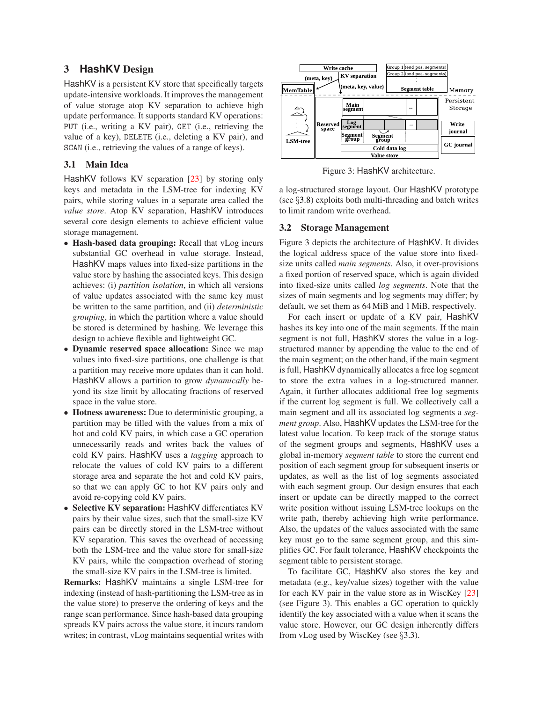# **3 HashKV Design**

HashKV is a persistent KV store that specifically targets update-intensive workloads. It improves the management of value storage atop KV separation to achieve high update performance. It supports standard KV operations: PUT (i.e., writing a KV pair), GET (i.e., retrieving the value of a key), DELETE (i.e., deleting a KV pair), and SCAN (i.e., retrieving the values of a range of keys).

# <span id="page-3-2"></span>**3.1 Main Idea**

HashKV follows KV separation [\[23\]](#page-11-8) by storing only keys and metadata in the LSM-tree for indexing KV pairs, while storing values in a separate area called the *value store*. Atop KV separation, HashKV introduces several core design elements to achieve efficient value storage management.

- **Hash-based data grouping:** Recall that vLog incurs substantial GC overhead in value storage. Instead, HashKV maps values into fixed-size partitions in the value store by hashing the associated keys. This design achieves: (i) *partition isolation*, in which all versions of value updates associated with the same key must be written to the same partition, and (ii) *deterministic grouping*, in which the partition where a value should be stored is determined by hashing. We leverage this design to achieve flexible and lightweight GC.
- **Dynamic reserved space allocation:** Since we map values into fixed-size partitions, one challenge is that a partition may receive more updates than it can hold. HashKV allows a partition to grow *dynamically* beyond its size limit by allocating fractions of reserved space in the value store.
- **Hotness awareness:** Due to deterministic grouping, a partition may be filled with the values from a mix of hot and cold KV pairs, in which case a GC operation unnecessarily reads and writes back the values of cold KV pairs. HashKV uses a *tagging* approach to relocate the values of cold KV pairs to a different storage area and separate the hot and cold KV pairs, so that we can apply GC to hot KV pairs only and avoid re-copying cold KV pairs.
- **Selective KV separation:** HashKV differentiates KV pairs by their value sizes, such that the small-size KV pairs can be directly stored in the LSM-tree without KV separation. This saves the overhead of accessing both the LSM-tree and the value store for small-size KV pairs, while the compaction overhead of storing the small-size KV pairs in the LSM-tree is limited.

**Remarks:** HashKV maintains a single LSM-tree for indexing (instead of hash-partitioning the LSM-tree as in the value store) to preserve the ordering of keys and the range scan performance. Since hash-based data grouping spreads KV pairs across the value store, it incurs random writes; in contrast, vLog maintains sequential writes with



<span id="page-3-1"></span>Figure 3: HashKV architecture.

a log-structured storage layout. Our HashKV prototype (see §[3.8\)](#page-5-0) exploits both multi-threading and batch writes to limit random write overhead.

### <span id="page-3-0"></span>**3.2 Storage Management**

Figure [3](#page-3-1) depicts the architecture of HashKV. It divides the logical address space of the value store into fixedsize units called *main segments*. Also, it over-provisions a fixed portion of reserved space, which is again divided into fixed-size units called *log segments*. Note that the sizes of main segments and log segments may differ; by default, we set them as 64 MiB and 1 MiB, respectively.

For each insert or update of a KV pair, HashKV hashes its key into one of the main segments. If the main segment is not full, HashKV stores the value in a logstructured manner by appending the value to the end of the main segment; on the other hand, if the main segment is full, HashKV dynamically allocates a free log segment to store the extra values in a log-structured manner. Again, it further allocates additional free log segments if the current log segment is full. We collectively call a main segment and all its associated log segments a *segment group*. Also, HashKV updates the LSM-tree for the latest value location. To keep track of the storage status of the segment groups and segments, HashKV uses a global in-memory *segment table* to store the current end position of each segment group for subsequent inserts or updates, as well as the list of log segments associated with each segment group. Our design ensures that each insert or update can be directly mapped to the correct write position without issuing LSM-tree lookups on the write path, thereby achieving high write performance. Also, the updates of the values associated with the same key must go to the same segment group, and this simplifies GC. For fault tolerance, HashKV checkpoints the segment table to persistent storage.

To facilitate GC, HashKV also stores the key and metadata (e.g., key/value sizes) together with the value for each KV pair in the value store as in WiscKey [\[23\]](#page-11-8) (see Figure [3\)](#page-3-1). This enables a GC operation to quickly identify the key associated with a value when it scans the value store. However, our GC design inherently differs from vLog used by WiscKey (see §[3.3\)](#page-4-0).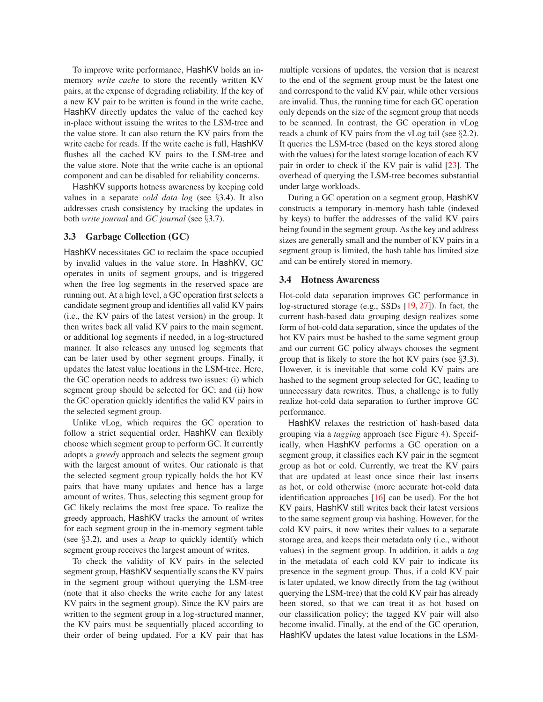To improve write performance, HashKV holds an inmemory *write cache* to store the recently written KV pairs, at the expense of degrading reliability. If the key of a new KV pair to be written is found in the write cache, HashKV directly updates the value of the cached key in-place without issuing the writes to the LSM-tree and the value store. It can also return the KV pairs from the write cache for reads. If the write cache is full, HashKV flushes all the cached KV pairs to the LSM-tree and the value store. Note that the write cache is an optional component and can be disabled for reliability concerns.

HashKV supports hotness awareness by keeping cold values in a separate *cold data log* (see §[3.4\)](#page-4-1). It also addresses crash consistency by tracking the updates in both *write journal* and *GC journal* (see §[3.7\)](#page-5-1).

#### <span id="page-4-0"></span>**3.3 Garbage Collection (GC)**

HashKV necessitates GC to reclaim the space occupied by invalid values in the value store. In HashKV, GC operates in units of segment groups, and is triggered when the free log segments in the reserved space are running out. At a high level, a GC operation first selects a candidate segment group and identifies all valid KV pairs (i.e., the KV pairs of the latest version) in the group. It then writes back all valid KV pairs to the main segment, or additional log segments if needed, in a log-structured manner. It also releases any unused log segments that can be later used by other segment groups. Finally, it updates the latest value locations in the LSM-tree. Here, the GC operation needs to address two issues: (i) which segment group should be selected for GC; and (ii) how the GC operation quickly identifies the valid KV pairs in the selected segment group.

Unlike vLog, which requires the GC operation to follow a strict sequential order, HashKV can flexibly choose which segment group to perform GC. It currently adopts a *greedy* approach and selects the segment group with the largest amount of writes. Our rationale is that the selected segment group typically holds the hot KV pairs that have many updates and hence has a large amount of writes. Thus, selecting this segment group for GC likely reclaims the most free space. To realize the greedy approach, HashKV tracks the amount of writes for each segment group in the in-memory segment table (see §[3.2\)](#page-3-0), and uses a *heap* to quickly identify which segment group receives the largest amount of writes.

To check the validity of KV pairs in the selected segment group, HashKV sequentially scans the KV pairs in the segment group without querying the LSM-tree (note that it also checks the write cache for any latest KV pairs in the segment group). Since the KV pairs are written to the segment group in a log-structured manner, the KV pairs must be sequentially placed according to their order of being updated. For a KV pair that has multiple versions of updates, the version that is nearest to the end of the segment group must be the latest one and correspond to the valid KV pair, while other versions are invalid. Thus, the running time for each GC operation only depends on the size of the segment group that needs to be scanned. In contrast, the GC operation in vLog reads a chunk of KV pairs from the vLog tail (see §[2.2\)](#page-2-1). It queries the LSM-tree (based on the keys stored along with the values) for the latest storage location of each KV pair in order to check if the KV pair is valid [\[23\]](#page-11-8). The overhead of querying the LSM-tree becomes substantial under large workloads.

During a GC operation on a segment group, HashKV constructs a temporary in-memory hash table (indexed by keys) to buffer the addresses of the valid KV pairs being found in the segment group. As the key and address sizes are generally small and the number of KV pairs in a segment group is limited, the hash table has limited size and can be entirely stored in memory.

#### <span id="page-4-1"></span>**3.4 Hotness Awareness**

Hot-cold data separation improves GC performance in log-structured storage (e.g., SSDs [\[19,](#page-11-9) [27\]](#page-11-7)). In fact, the current hash-based data grouping design realizes some form of hot-cold data separation, since the updates of the hot KV pairs must be hashed to the same segment group and our current GC policy always chooses the segment group that is likely to store the hot KV pairs (see  $\S 3.3$ ). However, it is inevitable that some cold KV pairs are hashed to the segment group selected for GC, leading to unnecessary data rewrites. Thus, a challenge is to fully realize hot-cold data separation to further improve GC performance.

HashKV relaxes the restriction of hash-based data grouping via a *tagging* approach (see Figure [4\)](#page-5-2). Specifically, when HashKV performs a GC operation on a segment group, it classifies each KV pair in the segment group as hot or cold. Currently, we treat the KV pairs that are updated at least once since their last inserts as hot, or cold otherwise (more accurate hot-cold data identification approaches [\[16\]](#page-11-13) can be used). For the hot KV pairs, HashKV still writes back their latest versions to the same segment group via hashing. However, for the cold KV pairs, it now writes their values to a separate storage area, and keeps their metadata only (i.e., without values) in the segment group. In addition, it adds a *tag* in the metadata of each cold KV pair to indicate its presence in the segment group. Thus, if a cold KV pair is later updated, we know directly from the tag (without querying the LSM-tree) that the cold KV pair has already been stored, so that we can treat it as hot based on our classification policy; the tagged KV pair will also become invalid. Finally, at the end of the GC operation, HashKV updates the latest value locations in the LSM-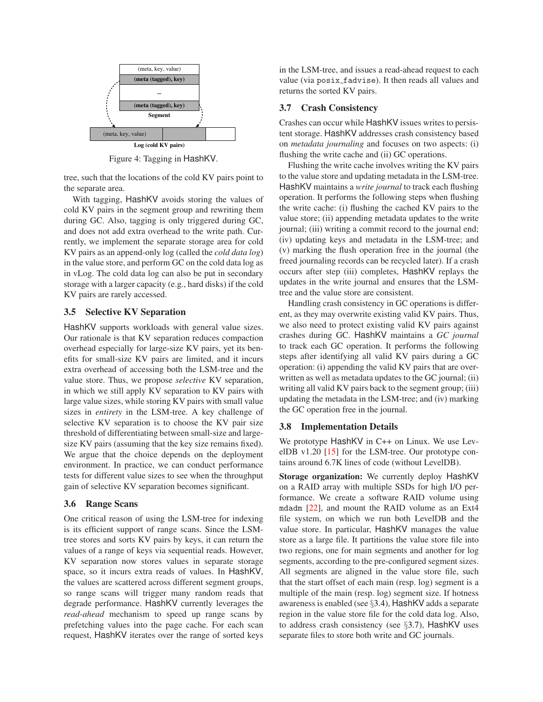

<span id="page-5-2"></span>Figure 4: Tagging in HashKV.

tree, such that the locations of the cold KV pairs point to the separate area.

With tagging, HashKV avoids storing the values of cold KV pairs in the segment group and rewriting them during GC. Also, tagging is only triggered during GC, and does not add extra overhead to the write path. Currently, we implement the separate storage area for cold KV pairs as an append-only log (called the *cold data log*) in the value store, and perform GC on the cold data log as in vLog. The cold data log can also be put in secondary storage with a larger capacity (e.g., hard disks) if the cold KV pairs are rarely accessed.

# **3.5 Selective KV Separation**

HashKV supports workloads with general value sizes. Our rationale is that KV separation reduces compaction overhead especially for large-size KV pairs, yet its benefits for small-size KV pairs are limited, and it incurs extra overhead of accessing both the LSM-tree and the value store. Thus, we propose *selective* KV separation, in which we still apply KV separation to KV pairs with large value sizes, while storing KV pairs with small value sizes in *entirety* in the LSM-tree. A key challenge of selective KV separation is to choose the KV pair size threshold of differentiating between small-size and largesize KV pairs (assuming that the key size remains fixed). We argue that the choice depends on the deployment environment. In practice, we can conduct performance tests for different value sizes to see when the throughput gain of selective KV separation becomes significant.

#### <span id="page-5-3"></span>**3.6 Range Scans**

One critical reason of using the LSM-tree for indexing is its efficient support of range scans. Since the LSMtree stores and sorts KV pairs by keys, it can return the values of a range of keys via sequential reads. However, KV separation now stores values in separate storage space, so it incurs extra reads of values. In HashKV, the values are scattered across different segment groups, so range scans will trigger many random reads that degrade performance. HashKV currently leverages the *read-ahead* mechanism to speed up range scans by prefetching values into the page cache. For each scan request, HashKV iterates over the range of sorted keys in the LSM-tree, and issues a read-ahead request to each value (via posix\_fadvise). It then reads all values and returns the sorted KV pairs.

# <span id="page-5-1"></span>**3.7 Crash Consistency**

Crashes can occur while HashKV issues writes to persistent storage. HashKV addresses crash consistency based on *metadata journaling* and focuses on two aspects: (i) flushing the write cache and (ii) GC operations.

Flushing the write cache involves writing the KV pairs to the value store and updating metadata in the LSM-tree. HashKV maintains a *write journal* to track each flushing operation. It performs the following steps when flushing the write cache: (i) flushing the cached KV pairs to the value store; (ii) appending metadata updates to the write journal; (iii) writing a commit record to the journal end; (iv) updating keys and metadata in the LSM-tree; and (v) marking the flush operation free in the journal (the freed journaling records can be recycled later). If a crash occurs after step (iii) completes, HashKV replays the updates in the write journal and ensures that the LSMtree and the value store are consistent.

Handling crash consistency in GC operations is different, as they may overwrite existing valid KV pairs. Thus, we also need to protect existing valid KV pairs against crashes during GC. HashKV maintains a *GC journal* to track each GC operation. It performs the following steps after identifying all valid KV pairs during a GC operation: (i) appending the valid KV pairs that are overwritten as well as metadata updates to the GC journal; (ii) writing all valid KV pairs back to the segment group; (iii) updating the metadata in the LSM-tree; and (iv) marking the GC operation free in the journal.

# <span id="page-5-0"></span>**3.8 Implementation Details**

We prototype HashKV in C++ on Linux. We use LevelDB v1.20 [\[15\]](#page-11-10) for the LSM-tree. Our prototype contains around 6.7K lines of code (without LevelDB).

**Storage organization:** We currently deploy HashKV on a RAID array with multiple SSDs for high I/O performance. We create a software RAID volume using mdadm [\[22\]](#page-11-14), and mount the RAID volume as an Ext4 file system, on which we run both LevelDB and the value store. In particular, HashKV manages the value store as a large file. It partitions the value store file into two regions, one for main segments and another for log segments, according to the pre-configured segment sizes. All segments are aligned in the value store file, such that the start offset of each main (resp. log) segment is a multiple of the main (resp. log) segment size. If hotness awareness is enabled (see §[3.4\)](#page-4-1), HashKV adds a separate region in the value store file for the cold data log. Also, to address crash consistency (see §[3.7\)](#page-5-1), HashKV uses separate files to store both write and GC journals.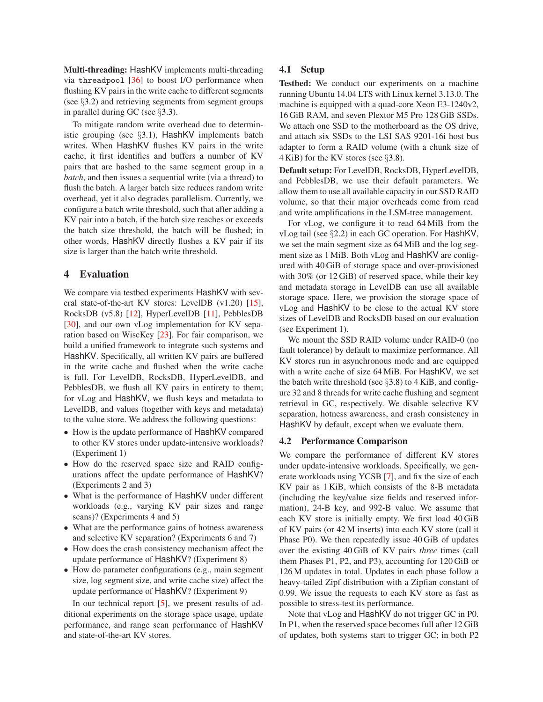**Multi-threading:** HashKV implements multi-threading via threadpool [\[36\]](#page-12-10) to boost I/O performance when flushing KV pairs in the write cache to different segments (see §[3.2\)](#page-3-0) and retrieving segments from segment groups in parallel during GC (see §[3.3\)](#page-4-0).

To mitigate random write overhead due to deterministic grouping (see §[3.1\)](#page-3-2), HashKV implements batch writes. When HashKV flushes KV pairs in the write cache, it first identifies and buffers a number of KV pairs that are hashed to the same segment group in a *batch*, and then issues a sequential write (via a thread) to flush the batch. A larger batch size reduces random write overhead, yet it also degrades parallelism. Currently, we configure a batch write threshold, such that after adding a KV pair into a batch, if the batch size reaches or exceeds the batch size threshold, the batch will be flushed; in other words, HashKV directly flushes a KV pair if its size is larger than the batch write threshold.

### **4 Evaluation**

We compare via testbed experiments HashKV with several state-of-the-art KV stores: LevelDB (v1.20) [\[15\]](#page-11-10), RocksDB (v5.8) [\[12\]](#page-11-11), HyperLevelDB [\[11\]](#page-11-15), PebblesDB [\[30\]](#page-12-5), and our own vLog implementation for KV separation based on WiscKey [\[23\]](#page-11-8). For fair comparison, we build a unified framework to integrate such systems and HashKV. Specifically, all written KV pairs are buffered in the write cache and flushed when the write cache is full. For LevelDB, RocksDB, HyperLevelDB, and PebblesDB, we flush all KV pairs in entirety to them; for vLog and HashKV, we flush keys and metadata to LevelDB, and values (together with keys and metadata) to the value store. We address the following questions:

- How is the update performance of HashKV compared to other KV stores under update-intensive workloads? (Experiment 1)
- How do the reserved space size and RAID configurations affect the update performance of HashKV? (Experiments 2 and 3)
- What is the performance of HashKV under different workloads (e.g., varying KV pair sizes and range scans)? (Experiments 4 and 5)
- What are the performance gains of hotness awareness and selective KV separation? (Experiments 6 and 7)
- How does the crash consistency mechanism affect the update performance of HashKV? (Experiment 8)
- How do parameter configurations (e.g., main segment size, log segment size, and write cache size) affect the update performance of HashKV? (Experiment 9)

In our technical report  $[5]$ , we present results of additional experiments on the storage space usage, update performance, and range scan performance of HashKV and state-of-the-art KV stores.

### **4.1 Setup**

**Testbed:** We conduct our experiments on a machine running Ubuntu 14.04 LTS with Linux kernel 3.13.0. The machine is equipped with a quad-core Xeon E3-1240v2, 16 GiB RAM, and seven Plextor M5 Pro 128 GiB SSDs. We attach one SSD to the motherboard as the OS drive, and attach six SSDs to the LSI SAS 9201-16i host bus adapter to form a RAID volume (with a chunk size of 4 KiB) for the KV stores (see §[3.8\)](#page-5-0).

**Default setup:** For LevelDB, RocksDB, HyperLevelDB, and PebblesDB, we use their default parameters. We allow them to use all available capacity in our SSD RAID volume, so that their major overheads come from read and write amplifications in the LSM-tree management.

For vLog, we configure it to read 64 MiB from the vLog tail (see §[2.2\)](#page-2-1) in each GC operation. For HashKV, we set the main segment size as 64 MiB and the log segment size as 1 MiB. Both vLog and HashKV are configured with 40 GiB of storage space and over-provisioned with 30% (or 12 GiB) of reserved space, while their key and metadata storage in LevelDB can use all available storage space. Here, we provision the storage space of vLog and HashKV to be close to the actual KV store sizes of LevelDB and RocksDB based on our evaluation (see Experiment 1).

We mount the SSD RAID volume under RAID-0 (no fault tolerance) by default to maximize performance. All KV stores run in asynchronous mode and are equipped with a write cache of size 64 MiB. For HashKV, we set the batch write threshold (see  $\S$ [3.8\)](#page-5-0) to 4 KiB, and configure 32 and 8 threads for write cache flushing and segment retrieval in GC, respectively. We disable selective KV separation, hotness awareness, and crash consistency in HashKV by default, except when we evaluate them.

#### **4.2 Performance Comparison**

We compare the performance of different KV stores under update-intensive workloads. Specifically, we generate workloads using YCSB [\[7\]](#page-11-17), and fix the size of each KV pair as 1 KiB, which consists of the 8-B metadata (including the key/value size fields and reserved information), 24-B key, and 992-B value. We assume that each KV store is initially empty. We first load 40 GiB of KV pairs (or 42 M inserts) into each KV store (call it Phase P0). We then repeatedly issue 40 GiB of updates over the existing 40 GiB of KV pairs *three* times (call them Phases P1, P2, and P3), accounting for 120 GiB or 126 M updates in total. Updates in each phase follow a heavy-tailed Zipf distribution with a Zipfian constant of 0.99. We issue the requests to each KV store as fast as possible to stress-test its performance.

Note that vLog and HashKV do not trigger GC in P0. In P1, when the reserved space becomes full after 12 GiB of updates, both systems start to trigger GC; in both P2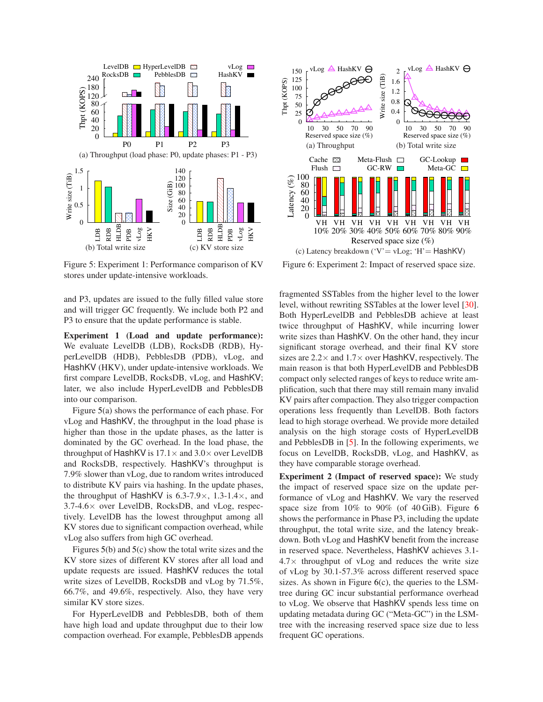

<span id="page-7-0"></span>Figure 5: Experiment 1: Performance comparison of KV stores under update-intensive workloads.

and P3, updates are issued to the fully filled value store and will trigger GC frequently. We include both P2 and P3 to ensure that the update performance is stable.

**Experiment 1 (Load and update performance):** We evaluate LevelDB (LDB), RocksDB (RDB), HyperLevelDB (HDB), PebblesDB (PDB), vLog, and HashKV (HKV), under update-intensive workloads. We first compare LevelDB, RocksDB, vLog, and HashKV; later, we also include HyperLevelDB and PebblesDB into our comparison.

Figure [5\(](#page-7-0)a) shows the performance of each phase. For vLog and HashKV, the throughput in the load phase is higher than those in the update phases, as the latter is dominated by the GC overhead. In the load phase, the throughput of HashKV is  $17.1\times$  and  $3.0\times$  over LevelDB and RocksDB, respectively. HashKV's throughput is 7.9% slower than vLog, due to random writes introduced to distribute KV pairs via hashing. In the update phases, the throughput of HashKV is  $6.3\n-7.9\times$ ,  $1.3\n-1.4\times$ , and  $3.7-4.6\times$  over LevelDB, RocksDB, and vLog, respectively. LevelDB has the lowest throughput among all KV stores due to significant compaction overhead, while vLog also suffers from high GC overhead.

Figures [5\(](#page-7-0)b) and [5\(](#page-7-0)c) show the total write sizes and the KV store sizes of different KV stores after all load and update requests are issued. HashKV reduces the total write sizes of LevelDB, RocksDB and vLog by 71.5%, 66.7%, and 49.6%, respectively. Also, they have very similar KV store sizes.

For HyperLevelDB and PebblesDB, both of them have high load and update throughput due to their low compaction overhead. For example, PebblesDB appends



<span id="page-7-1"></span>Figure 6: Experiment 2: Impact of reserved space size.

fragmented SSTables from the higher level to the lower level, without rewriting SSTables at the lower level [\[30\]](#page-12-5). Both HyperLevelDB and PebblesDB achieve at least twice throughput of HashKV, while incurring lower write sizes than HashKV. On the other hand, they incur significant storage overhead, and their final KV store sizes are  $2.2 \times$  and  $1.7 \times$  over HashKV, respectively. The main reason is that both HyperLevelDB and PebblesDB compact only selected ranges of keys to reduce write amplification, such that there may still remain many invalid KV pairs after compaction. They also trigger compaction operations less frequently than LevelDB. Both factors lead to high storage overhead. We provide more detailed analysis on the high storage costs of HyperLevelDB and PebblesDB in [\[5\]](#page-11-16). In the following experiments, we focus on LevelDB, RocksDB, vLog, and HashKV, as they have comparable storage overhead.

**Experiment 2 (Impact of reserved space):** We study the impact of reserved space size on the update performance of vLog and HashKV. We vary the reserved space size from 10% to 90% (of 40 GiB). Figure [6](#page-7-1) shows the performance in Phase P3, including the update throughput, the total write size, and the latency breakdown. Both vLog and HashKV benefit from the increase in reserved space. Nevertheless, HashKV achieves 3.1-  $4.7\times$  throughput of vLog and reduces the write size of vLog by 30.1-57.3% across different reserved space sizes. As shown in Figure [6\(](#page-7-1)c), the queries to the LSMtree during GC incur substantial performance overhead to vLog. We observe that HashKV spends less time on updating metadata during GC ("Meta-GC") in the LSMtree with the increasing reserved space size due to less frequent GC operations.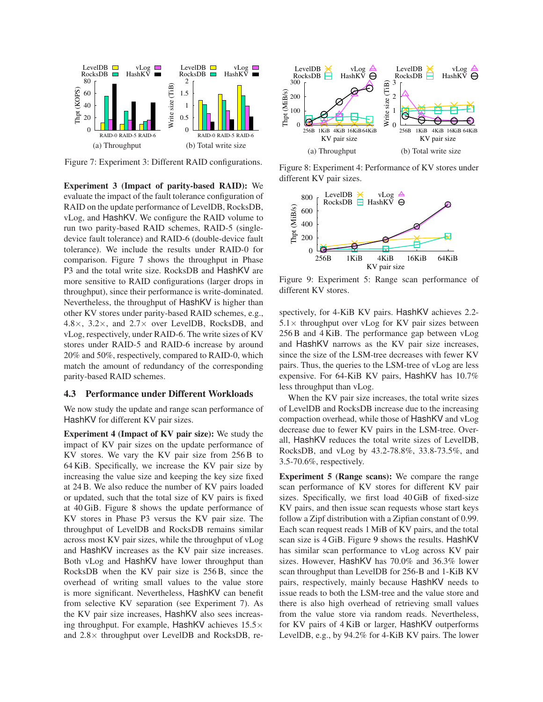

<span id="page-8-0"></span>Figure 7: Experiment 3: Different RAID configurations.

**Experiment 3 (Impact of parity-based RAID):** We evaluate the impact of the fault tolerance configuration of RAID on the update performance of LevelDB, RocksDB, vLog, and HashKV. We configure the RAID volume to run two parity-based RAID schemes, RAID-5 (singledevice fault tolerance) and RAID-6 (double-device fault tolerance). We include the results under RAID-0 for comparison. Figure [7](#page-8-0) shows the throughput in Phase P3 and the total write size. RocksDB and HashKV are more sensitive to RAID configurations (larger drops in throughput), since their performance is write-dominated. Nevertheless, the throughput of HashKV is higher than other KV stores under parity-based RAID schemes, e.g., 4.8×, 3.2×, and 2.7× over LevelDB, RocksDB, and vLog, respectively, under RAID-6. The write sizes of KV stores under RAID-5 and RAID-6 increase by around 20% and 50%, respectively, compared to RAID-0, which match the amount of redundancy of the corresponding parity-based RAID schemes.

#### **4.3 Performance under Different Workloads**

We now study the update and range scan performance of HashKV for different KV pair sizes.

**Experiment 4 (Impact of KV pair size):** We study the impact of KV pair sizes on the update performance of KV stores. We vary the KV pair size from 256 B to 64 KiB. Specifically, we increase the KV pair size by increasing the value size and keeping the key size fixed at 24 B. We also reduce the number of KV pairs loaded or updated, such that the total size of KV pairs is fixed at 40 GiB. Figure [8](#page-8-1) shows the update performance of KV stores in Phase P3 versus the KV pair size. The throughput of LevelDB and RocksDB remains similar across most KV pair sizes, while the throughput of vLog and HashKV increases as the KV pair size increases. Both vLog and HashKV have lower throughput than RocksDB when the KV pair size is 256 B, since the overhead of writing small values to the value store is more significant. Nevertheless, HashKV can benefit from selective KV separation (see Experiment 7). As the KV pair size increases, HashKV also sees increasing throughput. For example, HashKV achieves  $15.5\times$ and  $2.8\times$  throughput over LevelDB and RocksDB, re-



Figure 8: Experiment 4: Performance of KV stores under different KV pair sizes.

<span id="page-8-1"></span>

<span id="page-8-2"></span>Figure 9: Experiment 5: Range scan performance of different KV stores.

spectively, for 4-KiB KV pairs. HashKV achieves 2.2-  $5.1\times$  throughput over vLog for KV pair sizes between 256 B and 4 KiB. The performance gap between vLog and HashKV narrows as the KV pair size increases, since the size of the LSM-tree decreases with fewer KV pairs. Thus, the queries to the LSM-tree of vLog are less expensive. For 64-KiB KV pairs, HashKV has 10.7% less throughput than vLog.

When the KV pair size increases, the total write sizes of LevelDB and RocksDB increase due to the increasing compaction overhead, while those of HashKV and vLog decrease due to fewer KV pairs in the LSM-tree. Overall, HashKV reduces the total write sizes of LevelDB, RocksDB, and vLog by 43.2-78.8%, 33.8-73.5%, and 3.5-70.6%, respectively.

**Experiment 5 (Range scans):** We compare the range scan performance of KV stores for different KV pair sizes. Specifically, we first load 40 GiB of fixed-size KV pairs, and then issue scan requests whose start keys follow a Zipf distribution with a Zipfian constant of 0.99. Each scan request reads 1 MiB of KV pairs, and the total scan size is 4 GiB. Figure [9](#page-8-2) shows the results. HashKV has similar scan performance to vLog across KV pair sizes. However, HashKV has 70.0% and 36.3% lower scan throughput than LevelDB for 256-B and 1-KiB KV pairs, respectively, mainly because HashKV needs to issue reads to both the LSM-tree and the value store and there is also high overhead of retrieving small values from the value store via random reads. Nevertheless, for KV pairs of 4 KiB or larger, HashKV outperforms LevelDB, e.g., by 94.2% for 4-KiB KV pairs. The lower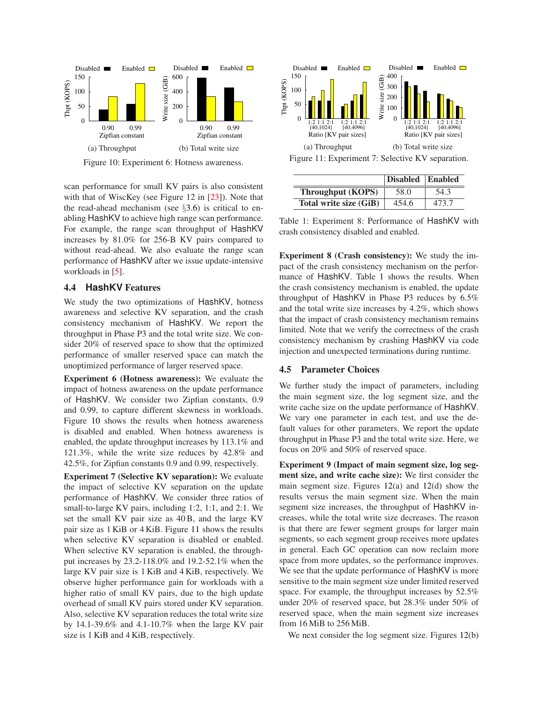

<span id="page-9-0"></span>Figure 10: Experiment 6: Hotness awareness.

scan performance for small KV pairs is also consistent with that of WiscKey (see Figure 12 in [\[23\]](#page-11-8)). Note that the read-ahead mechanism (see  $\S3.6$ ) is critical to enabling HashKV to achieve high range scan performance. For example, the range scan throughput of HashKV increases by 81.0% for 256-B KV pairs compared to without read-ahead. We also evaluate the range scan performance of HashKV after we issue update-intensive workloads in [\[5\]](#page-11-16).

### **4.4 HashKV Features**

We study the two optimizations of HashKV, hotness awareness and selective KV separation, and the crash consistency mechanism of HashKV. We report the throughput in Phase P3 and the total write size. We consider 20% of reserved space to show that the optimized performance of smaller reserved space can match the unoptimized performance of larger reserved space.

**Experiment 6 (Hotness awareness):** We evaluate the impact of hotness awareness on the update performance of HashKV. We consider two Zipfian constants, 0.9 and 0.99, to capture different skewness in workloads. Figure [10](#page-9-0) shows the results when hotness awareness is disabled and enabled. When hotness awareness is enabled, the update throughput increases by 113.1% and 121.3%, while the write size reduces by 42.8% and 42.5%, for Zipfian constants 0.9 and 0.99, respectively.

**Experiment 7 (Selective KV separation):** We evaluate the impact of selective KV separation on the update performance of HashKV. We consider three ratios of small-to-large KV pairs, including 1:2, 1:1, and 2:1. We set the small KV pair size as 40 B, and the large KV pair size as 1 KiB or 4 KiB. Figure [11](#page-9-1) shows the results when selective KV separation is disabled or enabled. When selective KV separation is enabled, the throughput increases by 23.2-118.0% and 19.2-52.1% when the large KV pair size is 1 KiB and 4 KiB, respectively. We observe higher performance gain for workloads with a higher ratio of small KV pairs, due to the high update overhead of small KV pairs stored under KV separation. Also, selective KV separation reduces the total write size by 14.1-39.6% and 4.1-10.7% when the large KV pair size is 1 KiB and 4 KiB, respectively.



<span id="page-9-1"></span>

|                          | Disabled Enabled |       |
|--------------------------|------------------|-------|
| <b>Throughput (KOPS)</b> | 58.0             | 54.3  |
| Total write size (GiB)   | 454.6            | 473.7 |

<span id="page-9-2"></span>Table 1: Experiment 8: Performance of HashKV with crash consistency disabled and enabled.

**Experiment 8 (Crash consistency):** We study the impact of the crash consistency mechanism on the performance of HashKV. Table [1](#page-9-2) shows the results. When the crash consistency mechanism is enabled, the update throughput of HashKV in Phase P3 reduces by 6.5% and the total write size increases by 4.2%, which shows that the impact of crash consistency mechanism remains limited. Note that we verify the correctness of the crash consistency mechanism by crashing HashKV via code injection and unexpected terminations during runtime.

### **4.5 Parameter Choices**

We further study the impact of parameters, including the main segment size, the log segment size, and the write cache size on the update performance of HashKV. We vary one parameter in each test, and use the default values for other parameters. We report the update throughput in Phase P3 and the total write size. Here, we focus on 20% and 50% of reserved space.

**Experiment 9 (Impact of main segment size, log segment size, and write cache size):** We first consider the main segment size. Figures [12\(](#page-10-1)a) and [12\(](#page-10-1)d) show the results versus the main segment size. When the main segment size increases, the throughput of HashKV increases, while the total write size decreases. The reason is that there are fewer segment groups for larger main segments, so each segment group receives more updates in general. Each GC operation can now reclaim more space from more updates, so the performance improves. We see that the update performance of HashKV is more sensitive to the main segment size under limited reserved space. For example, the throughput increases by 52.5% under 20% of reserved space, but 28.3% under 50% of reserved space, when the main segment size increases from 16 MiB to 256 MiB.

We next consider the log segment size. Figures [12\(](#page-10-1)b)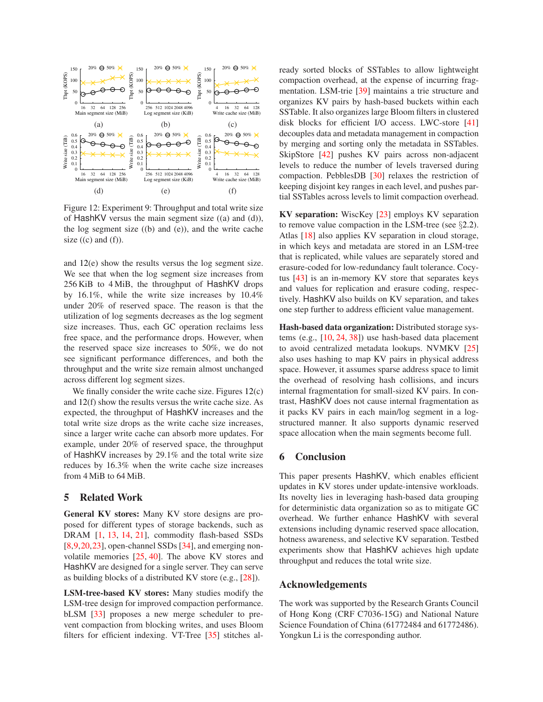

<span id="page-10-1"></span>Figure 12: Experiment 9: Throughput and total write size of HashKV versus the main segment size ((a) and (d)), the log segment size ((b) and (e)), and the write cache size  $((c)$  and  $(f)$ ).

and [12\(](#page-10-1)e) show the results versus the log segment size. We see that when the log segment size increases from 256 KiB to 4 MiB, the throughput of HashKV drops by 16.1%, while the write size increases by 10.4% under 20% of reserved space. The reason is that the utilization of log segments decreases as the log segment size increases. Thus, each GC operation reclaims less free space, and the performance drops. However, when the reserved space size increases to 50%, we do not see significant performance differences, and both the throughput and the write size remain almost unchanged across different log segment sizes.

We finally consider the write cache size. Figures [12\(](#page-10-1)c) and [12\(](#page-10-1)f) show the results versus the write cache size. As expected, the throughput of HashKV increases and the total write size drops as the write cache size increases, since a larger write cache can absorb more updates. For example, under 20% of reserved space, the throughput of HashKV increases by 29.1% and the total write size reduces by 16.3% when the write cache size increases from 4 MiB to 64 MiB.

### <span id="page-10-0"></span>**5 Related Work**

**General KV stores:** Many KV store designs are proposed for different types of storage backends, such as DRAM [\[1,](#page-11-18) [13,](#page-11-19) [14,](#page-11-20) [21\]](#page-11-21), commodity flash-based SSDs [\[8](#page-11-22)[,9](#page-11-23)[,20,](#page-11-24)[23\]](#page-11-8), open-channel SSDs [\[34\]](#page-12-11), and emerging nonvolatile memories [\[25,](#page-11-25) [40\]](#page-12-12). The above KV stores and HashKV are designed for a single server. They can serve as building blocks of a distributed KV store (e.g., [\[28\]](#page-11-26)).

**LSM-tree-based KV stores:** Many studies modify the LSM-tree design for improved compaction performance. bLSM [\[33\]](#page-12-1) proposes a new merge scheduler to prevent compaction from blocking writes, and uses Bloom filters for efficient indexing. VT-Tree [\[35\]](#page-12-6) stitches already sorted blocks of SSTables to allow lightweight compaction overhead, at the expense of incurring fragmentation. LSM-trie [\[39\]](#page-12-4) maintains a trie structure and organizes KV pairs by hash-based buckets within each SSTable. It also organizes large Bloom filters in clustered disk blocks for efficient I/O access. LWC-store [\[41\]](#page-12-7) decouples data and metadata management in compaction by merging and sorting only the metadata in SSTables. SkipStore [\[42\]](#page-12-8) pushes KV pairs across non-adjacent levels to reduce the number of levels traversed during compaction. PebblesDB [\[30\]](#page-12-5) relaxes the restriction of keeping disjoint key ranges in each level, and pushes partial SSTables across levels to limit compaction overhead.

**KV separation:** WiscKey [\[23\]](#page-11-8) employs KV separation to remove value compaction in the LSM-tree (see §[2.2\)](#page-2-1). Atlas [\[18\]](#page-11-3) also applies KV separation in cloud storage, in which keys and metadata are stored in an LSM-tree that is replicated, while values are separately stored and erasure-coded for low-redundancy fault tolerance. Cocytus [\[43\]](#page-12-13) is an in-memory KV store that separates keys and values for replication and erasure coding, respectively. HashKV also builds on KV separation, and takes one step further to address efficient value management.

**Hash-based data organization:** Distributed storage systems (e.g., [\[10,](#page-11-2) [24,](#page-11-27) [38\]](#page-12-14)) use hash-based data placement to avoid centralized metadata lookups. NVMKV [\[25\]](#page-11-25) also uses hashing to map KV pairs in physical address space. However, it assumes sparse address space to limit the overhead of resolving hash collisions, and incurs internal fragmentation for small-sized KV pairs. In contrast, HashKV does not cause internal fragmentation as it packs KV pairs in each main/log segment in a logstructured manner. It also supports dynamic reserved space allocation when the main segments become full.

### **6 Conclusion**

This paper presents HashKV, which enables efficient updates in KV stores under update-intensive workloads. Its novelty lies in leveraging hash-based data grouping for deterministic data organization so as to mitigate GC overhead. We further enhance HashKV with several extensions including dynamic reserved space allocation, hotness awareness, and selective KV separation. Testbed experiments show that HashKV achieves high update throughput and reduces the total write size.

### **Acknowledgements**

The work was supported by the Research Grants Council of Hong Kong (CRF C7036-15G) and National Nature Science Foundation of China (61772484 and 61772486). Yongkun Li is the corresponding author.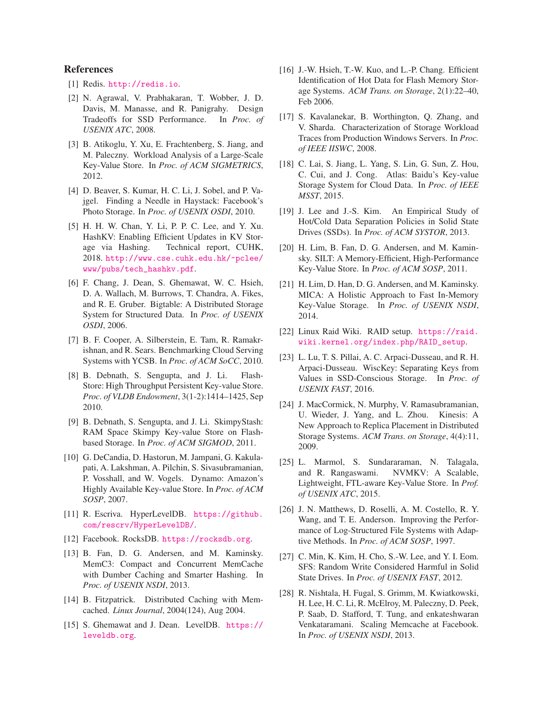# <span id="page-11-18"></span>**References**

- <span id="page-11-6"></span>[1] Redis. <http://redis.io>.
- [2] N. Agrawal, V. Prabhakaran, T. Wobber, J. D. Davis, M. Manasse, and R. Panigrahy. Design Tradeoffs for SSD Performance. In *Proc. of USENIX ATC*, 2008.
- <span id="page-11-4"></span>[3] B. Atikoglu, Y. Xu, E. Frachtenberg, S. Jiang, and M. Paleczny. Workload Analysis of a Large-Scale Key-Value Store. In *Proc. of ACM SIGMETRICS*, 2012.
- <span id="page-11-0"></span>[4] D. Beaver, S. Kumar, H. C. Li, J. Sobel, and P. Vajgel. Finding a Needle in Haystack: Facebook's Photo Storage. In *Proc. of USENIX OSDI*, 2010.
- <span id="page-11-16"></span>[5] H. H. W. Chan, Y. Li, P. P. C. Lee, and Y. Xu. HashKV: Enabling Efficient Updates in KV Storage via Hashing. Technical report, CUHK, 2018. [http://www.cse.cuhk.edu.hk/~pclee/](http://www.cse.cuhk.edu.hk/~pclee/www/pubs/tech_hashkv.pdf) [www/pubs/tech\\_hashkv.pdf](http://www.cse.cuhk.edu.hk/~pclee/www/pubs/tech_hashkv.pdf).
- <span id="page-11-1"></span>[6] F. Chang, J. Dean, S. Ghemawat, W. C. Hsieh, D. A. Wallach, M. Burrows, T. Chandra, A. Fikes, and R. E. Gruber. Bigtable: A Distributed Storage System for Structured Data. In *Proc. of USENIX OSDI*, 2006.
- <span id="page-11-17"></span>[7] B. F. Cooper, A. Silberstein, E. Tam, R. Ramakrishnan, and R. Sears. Benchmarking Cloud Serving Systems with YCSB. In *Proc. of ACM SoCC*, 2010.
- <span id="page-11-22"></span>[8] B. Debnath, S. Sengupta, and J. Li. Flash-Store: High Throughput Persistent Key-value Store. *Proc. of VLDB Endowment*, 3(1-2):1414–1425, Sep 2010.
- <span id="page-11-23"></span>[9] B. Debnath, S. Sengupta, and J. Li. SkimpyStash: RAM Space Skimpy Key-value Store on Flashbased Storage. In *Proc. of ACM SIGMOD*, 2011.
- <span id="page-11-2"></span>[10] G. DeCandia, D. Hastorun, M. Jampani, G. Kakulapati, A. Lakshman, A. Pilchin, S. Sivasubramanian, P. Vosshall, and W. Vogels. Dynamo: Amazon's Highly Available Key-value Store. In *Proc. of ACM SOSP*, 2007.
- <span id="page-11-15"></span>[11] R. Escriva. HyperLevelDB. [https://github.](https://github.com/rescrv/HyperLevelDB/) [com/rescrv/HyperLevelDB/](https://github.com/rescrv/HyperLevelDB/).
- <span id="page-11-19"></span><span id="page-11-11"></span>[12] Facebook. RocksDB. <https://rocksdb.org>.
- [13] B. Fan, D. G. Andersen, and M. Kaminsky. MemC3: Compact and Concurrent MemCache with Dumber Caching and Smarter Hashing. In *Proc. of USENIX NSDI*, 2013.
- <span id="page-11-20"></span>[14] B. Fitzpatrick. Distributed Caching with Memcached. *Linux Journal*, 2004(124), Aug 2004.
- <span id="page-11-10"></span>[15] S. Ghemawat and J. Dean. LevelDB. [https://](https://leveldb.org) [leveldb.org](https://leveldb.org).
- <span id="page-11-13"></span>[16] J.-W. Hsieh, T.-W. Kuo, and L.-P. Chang. Efficient Identification of Hot Data for Flash Memory Storage Systems. *ACM Trans. on Storage*, 2(1):22–40, Feb 2006.
- <span id="page-11-5"></span>[17] S. Kavalanekar, B. Worthington, Q. Zhang, and V. Sharda. Characterization of Storage Workload Traces from Production Windows Servers. In *Proc. of IEEE IISWC*, 2008.
- <span id="page-11-3"></span>[18] C. Lai, S. Jiang, L. Yang, S. Lin, G. Sun, Z. Hou, C. Cui, and J. Cong. Atlas: Baidu's Key-value Storage System for Cloud Data. In *Proc. of IEEE MSST*, 2015.
- <span id="page-11-9"></span>[19] J. Lee and J.-S. Kim. An Empirical Study of Hot/Cold Data Separation Policies in Solid State Drives (SSDs). In *Proc. of ACM SYSTOR*, 2013.
- <span id="page-11-24"></span>[20] H. Lim, B. Fan, D. G. Andersen, and M. Kaminsky. SILT: A Memory-Efficient, High-Performance Key-Value Store. In *Proc. of ACM SOSP*, 2011.
- <span id="page-11-21"></span>[21] H. Lim, D. Han, D. G. Andersen, and M. Kaminsky. MICA: A Holistic Approach to Fast In-Memory Key-Value Storage. In *Proc. of USENIX NSDI*, 2014.
- <span id="page-11-14"></span>[22] Linux Raid Wiki. RAID setup. [https://raid.](https://raid.wiki.kernel.org/index.php/RAID_setup) [wiki.kernel.org/index.php/RAID\\_setup](https://raid.wiki.kernel.org/index.php/RAID_setup).
- <span id="page-11-8"></span>[23] L. Lu, T. S. Pillai, A. C. Arpaci-Dusseau, and R. H. Arpaci-Dusseau. WiscKey: Separating Keys from Values in SSD-Conscious Storage. In *Proc. of USENIX FAST*, 2016.
- <span id="page-11-27"></span>[24] J. MacCormick, N. Murphy, V. Ramasubramanian, U. Wieder, J. Yang, and L. Zhou. Kinesis: A New Approach to Replica Placement in Distributed Storage Systems. *ACM Trans. on Storage*, 4(4):11, 2009.
- <span id="page-11-25"></span>[25] L. Marmol, S. Sundararaman, N. Talagala, and R. Rangaswami. NVMKV: A Scalable, Lightweight, FTL-aware Key-Value Store. In *Prof. of USENIX ATC*, 2015.
- <span id="page-11-12"></span>[26] J. N. Matthews, D. Roselli, A. M. Costello, R. Y. Wang, and T. E. Anderson. Improving the Performance of Log-Structured File Systems with Adaptive Methods. In *Proc. of ACM SOSP*, 1997.
- <span id="page-11-7"></span>[27] C. Min, K. Kim, H. Cho, S.-W. Lee, and Y. I. Eom. SFS: Random Write Considered Harmful in Solid State Drives. In *Proc. of USENIX FAST*, 2012.
- <span id="page-11-26"></span>[28] R. Nishtala, H. Fugal, S. Grimm, M. Kwiatkowski, H. Lee, H. C. Li, R. McElroy, M. Paleczny, D. Peek, P. Saab, D. Stafford, T. Tung, and enkateshwaran Venkataramani. Scaling Memcache at Facebook. In *Proc. of USENIX NSDI*, 2013.